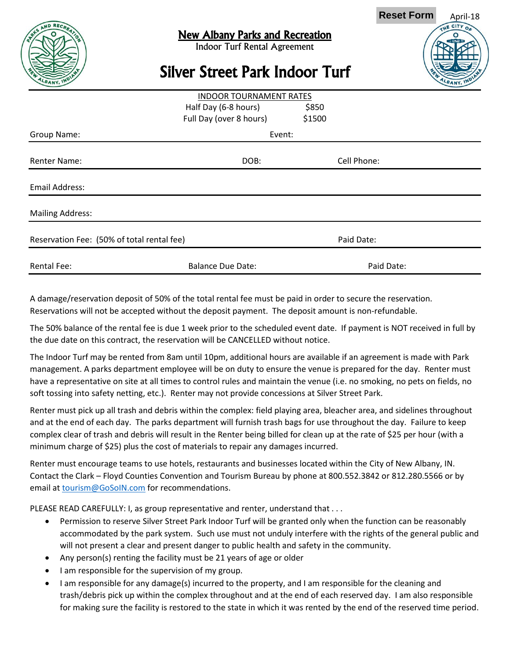

## New Albany Parks and Recreation

Indoor Turf Rental Agreement

## April-18 **Reset Form**

## Silver Street Park Indoor Turf

|                                            | <b>INDOOR TOURNAMENT RATES</b> |        |             |  |
|--------------------------------------------|--------------------------------|--------|-------------|--|
|                                            | Half Day (6-8 hours)           | \$850  |             |  |
|                                            | Full Day (over 8 hours)        | \$1500 |             |  |
| Group Name:                                | Event:                         |        |             |  |
| <b>Renter Name:</b>                        | DOB:                           |        | Cell Phone: |  |
|                                            |                                |        |             |  |
| <b>Email Address:</b>                      |                                |        |             |  |
| <b>Mailing Address:</b>                    |                                |        |             |  |
|                                            |                                |        |             |  |
| Reservation Fee: (50% of total rental fee) |                                |        | Paid Date:  |  |
| <b>Rental Fee:</b>                         | <b>Balance Due Date:</b>       |        | Paid Date:  |  |

A damage/reservation deposit of 50% of the total rental fee must be paid in order to secure the reservation. Reservations will not be accepted without the deposit payment. The deposit amount is non-refundable.

The 50% balance of the rental fee is due 1 week prior to the scheduled event date. If payment is NOT received in full by the due date on this contract, the reservation will be CANCELLED without notice.

The Indoor Turf may be rented from 8am until 10pm, additional hours are available if an agreement is made with Park management. A parks department employee will be on duty to ensure the venue is prepared for the day. Renter must have a representative on site at all times to control rules and maintain the venue (i.e. no smoking, no pets on fields, no soft tossing into safety netting, etc.). Renter may not provide concessions at Silver Street Park.

Renter must pick up all trash and debris within the complex: field playing area, bleacher area, and sidelines throughout and at the end of each day. The parks department will furnish trash bags for use throughout the day. Failure to keep complex clear of trash and debris will result in the Renter being billed for clean up at the rate of \$25 per hour (with a minimum charge of \$25) plus the cost of materials to repair any damages incurred.

Renter must encourage teams to use hotels, restaurants and businesses located within the City of New Albany, IN. Contact the Clark – Floyd Counties Convention and Tourism Bureau by phone at 800.552.3842 or 812.280.5566 or by email at **tourism@GoSoIN.com** for recommendations.

PLEASE READ CAREFULLY: I, as group representative and renter, understand that . . .

- Permission to reserve Silver Street Park Indoor Turf will be granted only when the function can be reasonably accommodated by the park system. Such use must not unduly interfere with the rights of the general public and will not present a clear and present danger to public health and safety in the community.
- Any person(s) renting the facility must be 21 years of age or older
- I am responsible for the supervision of my group.
- I am responsible for any damage(s) incurred to the property, and I am responsible for the cleaning and trash/debris pick up within the complex throughout and at the end of each reserved day. I am also responsible for making sure the facility is restored to the state in which it was rented by the end of the reserved time period.